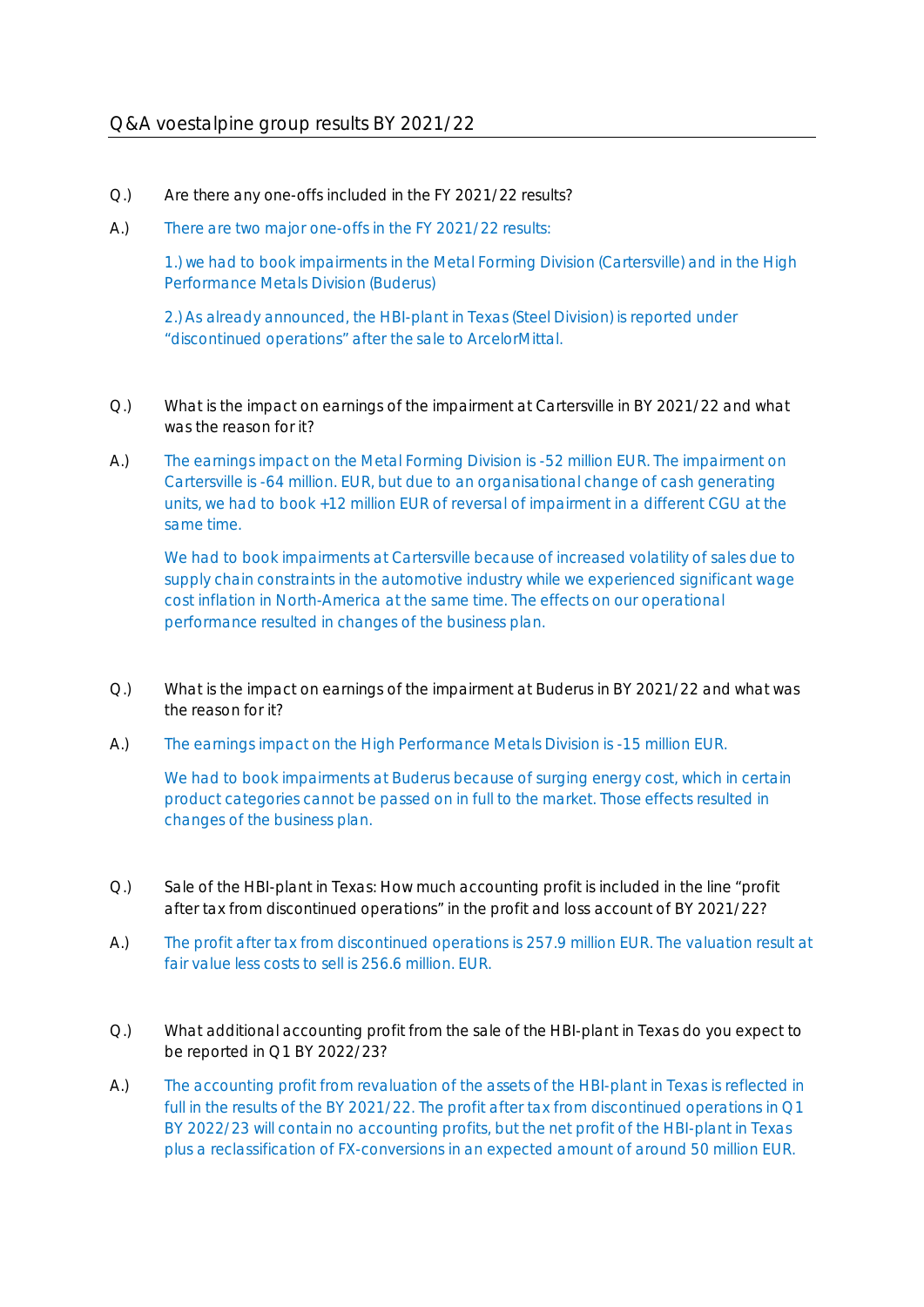## Q&A voestalpine group results BY 2021/22

- Q.) Are there any one-offs included in the FY 2021/22 results?
- A.) There are two major one-offs in the FY 2021/22 results:

1.) we had to book impairments in the Metal Forming Division (Cartersville) and in the High Performance Metals Division (Buderus)

2.) As already announced, the HBI-plant in Texas (Steel Division) is reported under "discontinued operations" after the sale to ArcelorMittal.

- Q.) What is the impact on earnings of the impairment at Cartersville in BY 2021/22 and what was the reason for it?
- A.) The earnings impact on the Metal Forming Division is -52 million EUR. The impairment on Cartersville is -64 million. EUR, but due to an organisational change of cash generating units, we had to book +12 million EUR of reversal of impairment in a different CGU at the same time.

 We had to book impairments at Cartersville because of increased volatility of sales due to supply chain constraints in the automotive industry while we experienced significant wage cost inflation in North-America at the same time. The effects on our operational performance resulted in changes of the business plan.

- Q.) What is the impact on earnings of the impairment at Buderus in BY 2021/22 and what was the reason for it?
- A.) The earnings impact on the High Performance Metals Division is -15 million EUR.

We had to book impairments at Buderus because of surging energy cost, which in certain product categories cannot be passed on in full to the market. Those effects resulted in changes of the business plan.

- Q.) Sale of the HBI-plant in Texas: How much accounting profit is included in the line "profit after tax from discontinued operations" in the profit and loss account of BY 2021/22?
- A.) The profit after tax from discontinued operations is 257.9 million EUR. The valuation result at fair value less costs to sell is 256.6 million. EUR.
- Q.) What additional accounting profit from the sale of the HBI-plant in Texas do you expect to be reported in Q1 BY 2022/23?
- A.) The accounting profit from revaluation of the assets of the HBI-plant in Texas is reflected in full in the results of the BY 2021/22. The profit after tax from discontinued operations in Q1 BY 2022/23 will contain no accounting profits, but the net profit of the HBI-plant in Texas plus a reclassification of FX-conversions in an expected amount of around 50 million EUR.